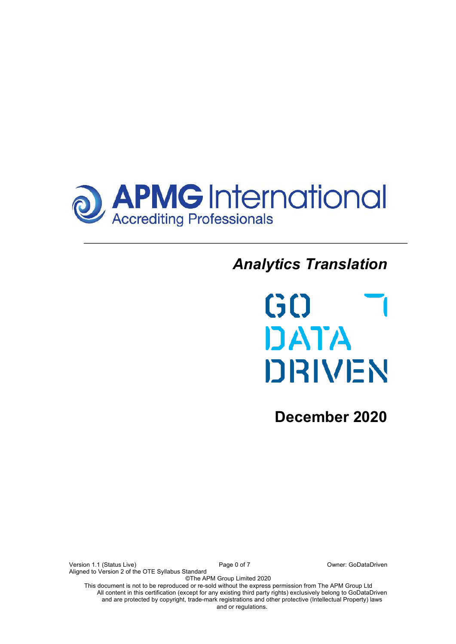

# *Analytics Translation*



**December 2020**

Version 1.1 (Status Live) 
version 1.1 (Status Live)

version 1.1 (Status Live)

version 1.1 (Status Live)

version 1.1 (Status Live)

version 1.1 (Status Live)

version 1.1 (Status Live)

version 1.1 (Status Live)

versio Aligned to Version 2 of the OTE Syllabus Standard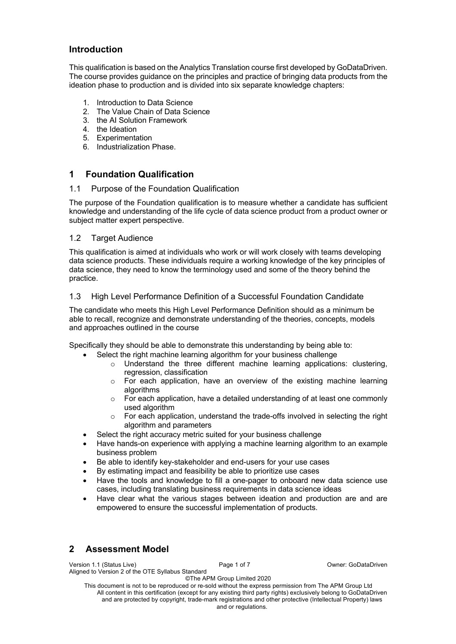## **Introduction**

This qualification is based on the Analytics Translation course first developed by GoDataDriven. The course provides guidance on the principles and practice of bringing data products from the ideation phase to production and is divided into six separate knowledge chapters:

- 1. Introduction to Data Science
- 2. The Value Chain of Data Science
- 3. the AI Solution Framework
- 4. the Ideation
- 5. Experimentation
- 6. Industrialization Phase.

## **1 Foundation Qualification**

#### 1.1 Purpose of the Foundation Qualification

The purpose of the Foundation qualification is to measure whether a candidate has sufficient knowledge and understanding of the life cycle of data science product from a product owner or subject matter expert perspective.

#### 1.2 Target Audience

This qualification is aimed at individuals who work or will work closely with teams developing data science products. These individuals require a working knowledge of the key principles of data science, they need to know the terminology used and some of the theory behind the practice.

#### 1.3 High Level Performance Definition of a Successful Foundation Candidate

The candidate who meets this High Level Performance Definition should as a minimum be able to recall, recognize and demonstrate understanding of the theories, concepts, models and approaches outlined in the course

Specifically they should be able to demonstrate this understanding by being able to:

- Select the right machine learning algorithm for your business challenge
	- o Understand the three different machine learning applications: clustering, regression, classification
	- $\circ$  For each application, have an overview of the existing machine learning algorithms
	- $\circ$  For each application, have a detailed understanding of at least one commonly used algorithm
	- $\circ$  For each application, understand the trade-offs involved in selecting the right algorithm and parameters
- Select the right accuracy metric suited for your business challenge
- Have hands-on experience with applying a machine learning algorithm to an example business problem
- Be able to identify key-stakeholder and end-users for your use cases
- By estimating impact and feasibility be able to prioritize use cases
- Have the tools and knowledge to fill a one-pager to onboard new data science use cases, including translating business requirements in data science ideas
- Have clear what the various stages between ideation and production are and are empowered to ensure the successful implementation of products.

# **2 Assessment Model**

| Version 1.1 (Status Live)                         | Page 1 of 7 |  |
|---------------------------------------------------|-------------|--|
| Aligned to Version 2 of the OTE Syllabus Standard |             |  |

©The APM Group Limited 2020 This document is not to be reproduced or re-sold without the express permission from The APM Group Ltd All content in this certification (except for any existing third party rights) exclusively belong to GoDataDriven and are protected by copyright, trade-mark registrations and other protective (Intellectual Property) laws and or regulations.

Owner: GoDataDriven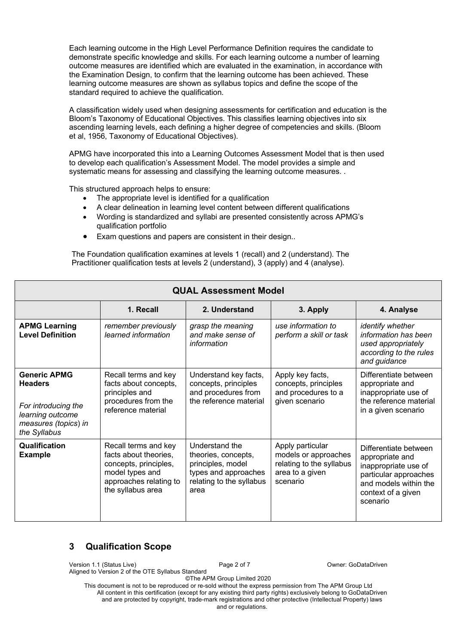Each learning outcome in the High Level Performance Definition requires the candidate to demonstrate specific knowledge and skills. For each learning outcome a number of learning outcome measures are identified which are evaluated in the examination, in accordance with the Examination Design, to confirm that the learning outcome has been achieved. These learning outcome measures are shown as syllabus topics and define the scope of the standard required to achieve the qualification.

A classification widely used when designing assessments for certification and education is the Bloom's Taxonomy of Educational Objectives. This classifies learning objectives into six ascending learning levels, each defining a higher degree of competencies and skills. (Bloom et al, 1956, Taxonomy of Educational Objectives).

APMG have incorporated this into a Learning Outcomes Assessment Model that is then used to develop each qualification's Assessment Model. The model provides a simple and systematic means for assessing and classifying the learning outcome measures. .

This structured approach helps to ensure:

- The appropriate level is identified for a qualification
- A clear delineation in learning level content between different qualifications
- Wording is standardized and syllabi are presented consistently across APMG's qualification portfolio
- Exam questions and papers are consistent in their design..

The Foundation qualification examines at levels 1 (recall) and 2 (understand). The Practitioner qualification tests at levels 2 (understand), 3 (apply) and 4 (analyse).

| <b>QUAL Assessment Model</b>                                                                                             |                                                                                                                                          |                                                                                                                        |                                                                                                     |                                                                                                                                                      |  |  |  |
|--------------------------------------------------------------------------------------------------------------------------|------------------------------------------------------------------------------------------------------------------------------------------|------------------------------------------------------------------------------------------------------------------------|-----------------------------------------------------------------------------------------------------|------------------------------------------------------------------------------------------------------------------------------------------------------|--|--|--|
| 1. Recall<br>2. Understand<br>3. Apply<br>4. Analyse                                                                     |                                                                                                                                          |                                                                                                                        |                                                                                                     |                                                                                                                                                      |  |  |  |
| <b>APMG Learning</b><br><b>Level Definition</b>                                                                          | remember previously<br>learned information                                                                                               | grasp the meaning<br>and make sense of<br>information                                                                  | use information to<br>perform a skill or task                                                       | identify whether<br>information has been<br>used appropriately<br>according to the rules<br>and guidance                                             |  |  |  |
| <b>Generic APMG</b><br><b>Headers</b><br>For introducing the<br>learning outcome<br>measures (topics) in<br>the Syllabus | Recall terms and key<br>facts about concepts,<br>principles and<br>procedures from the<br>reference material                             | Understand key facts,<br>concepts, principles<br>and procedures from<br>the reference material                         | Apply key facts,<br>concepts, principles<br>and procedures to a<br>given scenario                   | Differentiate between<br>appropriate and<br>inappropriate use of<br>the reference material<br>in a given scenario                                    |  |  |  |
| Qualification<br><b>Example</b>                                                                                          | Recall terms and key<br>facts about theories,<br>concepts, principles,<br>model types and<br>approaches relating to<br>the syllabus area | Understand the<br>theories, concepts,<br>principles, model<br>types and approaches<br>relating to the syllabus<br>area | Apply particular<br>models or approaches<br>relating to the syllabus<br>area to a given<br>scenario | Differentiate between<br>appropriate and<br>inappropriate use of<br>particular approaches<br>and models within the<br>context of a given<br>scenario |  |  |  |

## **3 Qualification Scope**

Version 1.1 (Status Live) Page 2 of 7 Owner: GoDataDriven

Aligned to Version 2 of the OTE Syllabus Standard

©The APM Group Limited 2020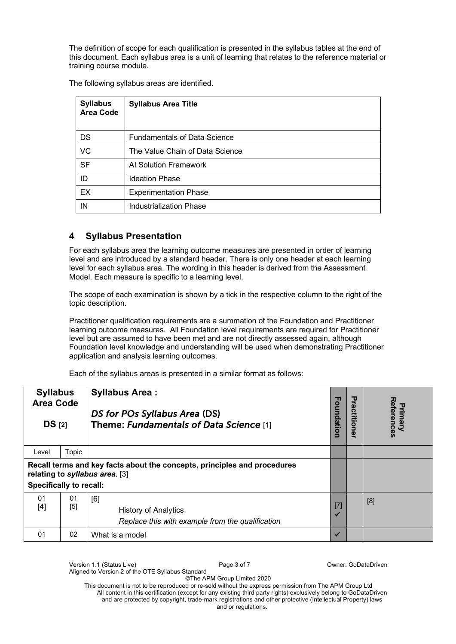The definition of scope for each qualification is presented in the syllabus tables at the end of this document. Each syllabus area is a unit of learning that relates to the reference material or training course module.

The following syllabus areas are identified.

| <b>Syllabus</b><br><b>Area Code</b> | <b>Syllabus Area Title</b>          |
|-------------------------------------|-------------------------------------|
| <b>DS</b>                           | <b>Fundamentals of Data Science</b> |
| VC                                  | The Value Chain of Data Science     |
| <b>SF</b>                           | Al Solution Framework               |
| ID                                  | <b>Ideation Phase</b>               |
| EX                                  | <b>Experimentation Phase</b>        |
| IN                                  | Industrialization Phase             |

# **4 Syllabus Presentation**

For each syllabus area the learning outcome measures are presented in order of learning level and are introduced by a standard header. There is only one header at each learning level for each syllabus area. The wording in this header is derived from the Assessment Model. Each measure is specific to a learning level.

The scope of each examination is shown by a tick in the respective column to the right of the topic description.

Practitioner qualification requirements are a summation of the Foundation and Practitioner learning outcome measures. All Foundation level requirements are required for Practitioner level but are assumed to have been met and are not directly assessed again, although Foundation level knowledge and understanding will be used when demonstrating Practitioner application and analysis learning outcomes.

Each of the syllabus areas is presented in a similar format as follows:

| <b>Syllabus</b><br><b>Area Code</b><br>DS <sub>[2]</sub>                                                                                     |           | <b>Syllabus Area:</b><br>DS for POs Syllabus Area (DS)<br>Theme: Fundamentals of Data Science [1] | u<br>oundation | Practitioner | References<br>Primary |
|----------------------------------------------------------------------------------------------------------------------------------------------|-----------|---------------------------------------------------------------------------------------------------|----------------|--------------|-----------------------|
| Level                                                                                                                                        | Topic     |                                                                                                   |                |              |                       |
| Recall terms and key facts about the concepts, principles and procedures<br>relating to syllabus area. [3]<br><b>Specifically to recall:</b> |           |                                                                                                   |                |              |                       |
| 01<br>$[4]$                                                                                                                                  | 01<br>[5] | [6]<br><b>History of Analytics</b><br>Replace this with example from the qualification            | $[7]$          |              | [8]                   |
| 01                                                                                                                                           | 02        | What is a model                                                                                   |                |              |                       |

©The APM Group Limited 2020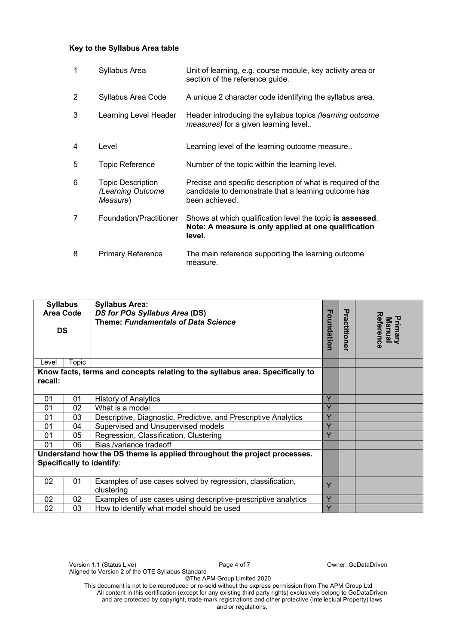#### **Key to the Syllabus Area table**

| 1 | Syllabus Area                                             | Unit of learning, e.g. course module, key activity area or<br>section of the reference guide.                                         |
|---|-----------------------------------------------------------|---------------------------------------------------------------------------------------------------------------------------------------|
| 2 | Syllabus Area Code                                        | A unique 2 character code identifying the syllabus area.                                                                              |
| 3 | Learning Level Header                                     | Header introducing the syllabus topics (learning outcome<br>measures) for a given learning level                                      |
| 4 | Level                                                     | Learning level of the learning outcome measure                                                                                        |
| 5 | <b>Topic Reference</b>                                    | Number of the topic within the learning level.                                                                                        |
| 6 | <b>Topic Description</b><br>(Learning Outcome<br>Measure) | Precise and specific description of what is required of the<br>candidate to demonstrate that a learning outcome has<br>been achieved. |
| 7 | Foundation/Practitioner                                   | Shows at which qualification level the topic is assessed.<br>Note: A measure is only applied at one qualification<br>level.           |
| 8 | <b>Primary Reference</b>                                  | The main reference supporting the learning outcome<br>measure.                                                                        |

| <b>Syllabus</b><br>Area Code<br><b>DS</b>                                                                    |       | <b>Syllabus Area:</b><br>DS for POs Syllabus Area (DS)<br><b>Theme: Fundamentals of Data Science</b> |   | Practitioner | Reference<br>Primary<br>Manual |
|--------------------------------------------------------------------------------------------------------------|-------|------------------------------------------------------------------------------------------------------|---|--------------|--------------------------------|
| Level                                                                                                        | Topic |                                                                                                      |   |              |                                |
| recall:                                                                                                      |       | Know facts, terms and concepts relating to the syllabus area. Specifically to                        |   |              |                                |
| 01                                                                                                           | 01    | <b>History of Analytics</b>                                                                          | Y |              |                                |
| 01                                                                                                           | 02    | What is a model                                                                                      | Y |              |                                |
| 01                                                                                                           | 03    | Descriptive, Diagnostic, Predictive, and Prescriptive Analytics                                      | Y |              |                                |
| 01                                                                                                           | 04    | Supervised and Unsupervised models                                                                   | Y |              |                                |
| 01                                                                                                           | 05    | Regression, Classification, Clustering                                                               | Y |              |                                |
| 01                                                                                                           | 06    | Bias /variance tradeoff                                                                              |   |              |                                |
| Understand how the DS theme is applied throughout the project processes.<br><b>Specifically to identify:</b> |       |                                                                                                      |   |              |                                |
| 02                                                                                                           | 01    | Examples of use cases solved by regression, classification,<br>clustering                            | Y |              |                                |
| 02                                                                                                           | 02    | Examples of use cases using descriptive-prescriptive analytics                                       | Y |              |                                |
| 02                                                                                                           | 03    | How to identify what model should be used                                                            | Y |              |                                |

©The APM Group Limited 2020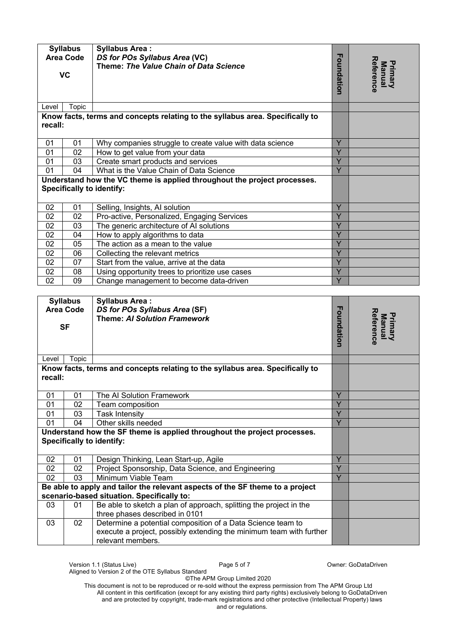| <b>Syllabus</b><br><b>Area Code</b>              |                  | <b>Syllabus Area:</b><br>DS for POs Syllabus Area (VC)<br>Theme: The Value Chain of Data Science                                                        |                                |  |
|--------------------------------------------------|------------------|---------------------------------------------------------------------------------------------------------------------------------------------------------|--------------------------------|--|
| <b>VC</b>                                        |                  | Foundation                                                                                                                                              | Reference<br>Primary<br>Manual |  |
| Level                                            | Topic            |                                                                                                                                                         |                                |  |
| recall:                                          |                  | Know facts, terms and concepts relating to the syllabus area. Specifically to                                                                           |                                |  |
| 01                                               | 01               | Why companies struggle to create value with data science                                                                                                | Y                              |  |
| 01                                               | 02               | How to get value from your data                                                                                                                         | $\overline{Y}$                 |  |
| 01                                               | 03               | Create smart products and services                                                                                                                      | Y                              |  |
| 01                                               | 04               | What is the Value Chain of Data Science                                                                                                                 | $\overline{Y}$                 |  |
|                                                  |                  | Understand how the VC theme is applied throughout the project processes.                                                                                |                                |  |
|                                                  |                  | <b>Specifically to identify:</b>                                                                                                                        |                                |  |
|                                                  |                  |                                                                                                                                                         |                                |  |
| 02                                               | 01               | Selling, Insights, AI solution                                                                                                                          | Y                              |  |
| 02                                               | 02               | Pro-active, Personalized, Engaging Services                                                                                                             | Y                              |  |
| 02                                               | 03               | The generic architecture of AI solutions                                                                                                                | Y                              |  |
| 02                                               | 04               | How to apply algorithms to data                                                                                                                         | $\overline{Y}$                 |  |
| 02                                               | 05               | The action as a mean to the value                                                                                                                       | $\overline{Y}$                 |  |
| 02                                               | 06               | Collecting the relevant metrics                                                                                                                         | $\overline{Y}$                 |  |
| 02                                               | 07               | Start from the value, arrive at the data                                                                                                                | $\overline{Y}$                 |  |
| 02                                               | 08               | Using opportunity trees to prioritize use cases                                                                                                         | Y                              |  |
| 02                                               | 09               | Change management to become data-driven                                                                                                                 | $\overline{Y}$                 |  |
|                                                  |                  |                                                                                                                                                         |                                |  |
|                                                  | <b>Syllabus</b>  | <b>Syllabus Area:</b>                                                                                                                                   |                                |  |
|                                                  | <b>Area Code</b> | DS for POs Syllabus Area (SF)                                                                                                                           |                                |  |
| <b>Theme: AI Solution Framework</b><br><b>SF</b> |                  | Foundation                                                                                                                                              | Reference<br>Manual<br>Primary |  |
|                                                  |                  |                                                                                                                                                         |                                |  |
| Level                                            | Topic            |                                                                                                                                                         |                                |  |
| recall:                                          |                  | Know facts, terms and concepts relating to the syllabus area. Specifically to                                                                           |                                |  |
| 01                                               | 01               | The AI Solution Framework                                                                                                                               | Y                              |  |
| 01                                               | 02               | Team composition                                                                                                                                        | Ÿ                              |  |
| 01                                               | 03               | <b>Task Intensity</b>                                                                                                                                   | $\overline{Y}$                 |  |
| 01                                               | 04               | Other skills needed                                                                                                                                     | $\overline{Y}$                 |  |
|                                                  |                  | Understand how the SF theme is applied throughout the project processes.<br><b>Specifically to identify:</b>                                            |                                |  |
| 02                                               | 01               | Design Thinking, Lean Start-up, Agile                                                                                                                   | Y                              |  |
| 02                                               | 02               | Project Sponsorship, Data Science, and Engineering                                                                                                      | $\overline{Y}$                 |  |
| 02                                               | 03               | Minimum Viable Team                                                                                                                                     | $\overline{Y}$                 |  |
|                                                  |                  | Be able to apply and tailor the relevant aspects of the SF theme to a project<br>scenario-based situation. Specifically to:                             |                                |  |
| 03                                               | 01               | Be able to sketch a plan of approach, splitting the project in the<br>three phases described in 0101                                                    |                                |  |
| 03                                               | 02               | Determine a potential composition of a Data Science team to<br>execute a project, possibly extending the minimum team with further<br>relevant members. |                                |  |

©The APM Group Limited 2020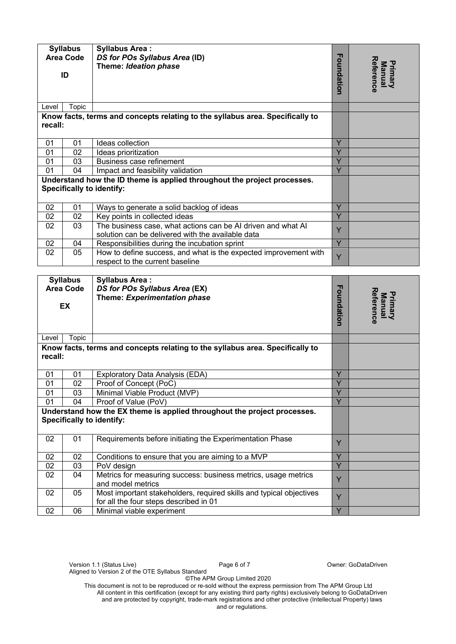| <b>Syllabus</b><br><b>Area Code</b> |                  | <b>Syllabus Area:</b><br>DS for POs Syllabus Area (ID)<br>Theme: Ideation phase                                   |                              |                                       |
|-------------------------------------|------------------|-------------------------------------------------------------------------------------------------------------------|------------------------------|---------------------------------------|
|                                     | ID               |                                                                                                                   | Foundation                   | Reference<br><b>Primary</b><br>Manual |
| Level                               | Topic            |                                                                                                                   |                              |                                       |
| recall:                             |                  | Know facts, terms and concepts relating to the syllabus area. Specifically to                                     |                              |                                       |
| 01                                  | 01               | Ideas collection                                                                                                  | Y                            |                                       |
| 01                                  | 02               | Ideas prioritization                                                                                              | Y                            |                                       |
| 01                                  | 03               | Business case refinement                                                                                          | $\overline{Y}$               |                                       |
| 01                                  | 04               | Impact and feasibility validation                                                                                 | $\overline{Y}$               |                                       |
|                                     |                  | Understand how the ID theme is applied throughout the project processes.<br><b>Specifically to identify:</b>      |                              |                                       |
| 02                                  | 01               | Ways to generate a solid backlog of ideas                                                                         | Y                            |                                       |
| 02                                  | 02               | Key points in collected ideas                                                                                     | $\overline{Y}$               |                                       |
| 02                                  | 03               | The business case, what actions can be AI driven and what AI<br>solution can be delivered with the available data | Y                            |                                       |
| 02                                  | 04               | Responsibilities during the incubation sprint                                                                     | $\overline{Y}$               |                                       |
| 02                                  | 05               | How to define success, and what is the expected improvement with<br>respect to the current baseline               | Ÿ                            |                                       |
|                                     |                  |                                                                                                                   |                              |                                       |
|                                     | <b>Syllabus</b>  | <b>Syllabus Area:</b>                                                                                             |                              |                                       |
|                                     | <b>Area Code</b> | DS for POs Syllabus Area (EX)<br>Theme: Experimentation phase                                                     |                              |                                       |
|                                     | EX               |                                                                                                                   | Foundation                   | Reference<br>Primary<br>Manual        |
| Level                               | Topic            |                                                                                                                   |                              |                                       |
| recall:                             |                  | Know facts, terms and concepts relating to the syllabus area. Specifically to                                     |                              |                                       |
| 01                                  | 01               | <b>Exploratory Data Analysis (EDA)</b>                                                                            | Y                            |                                       |
| $\overline{01}$                     | $\overline{02}$  | Proof of Concept (PoC)                                                                                            | $\overline{\mathsf{v}}$<br>ш |                                       |
| 01                                  | 03               | Minimal Viable Product (MVP)                                                                                      | $\overline{Y}$               |                                       |
| 01                                  | 04               | Proof of Value (PoV)                                                                                              | $\overline{Y}$               |                                       |
|                                     |                  | Understand how the EX theme is applied throughout the project processes.<br><b>Specifically to identify:</b>      |                              |                                       |
| 02                                  | 01               | Requirements before initiating the Experimentation Phase                                                          | Y                            |                                       |
| 02                                  | 02               | Conditions to ensure that you are aiming to a MVP                                                                 | Y                            |                                       |
| 02                                  | 03               | PoV design                                                                                                        | Ÿ                            |                                       |
| 02                                  | 04               | Metrics for measuring success: business metrics, usage metrics<br>and model metrics                               | Y                            |                                       |
| 02                                  | 05               | Most important stakeholders, required skills and typical objectives<br>for all the four steps described in 01     | Y                            |                                       |
| 02                                  | 06               | Minimal viable experiment                                                                                         | Y                            |                                       |

©The APM Group Limited 2020